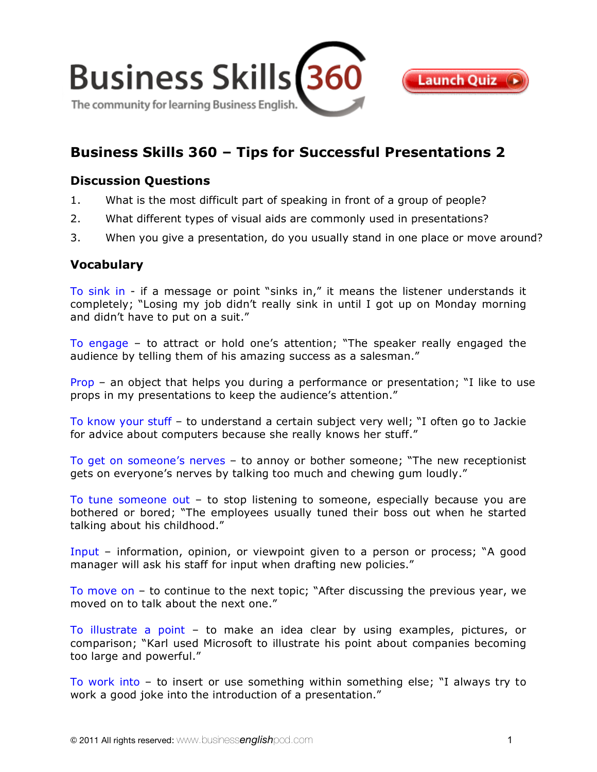

# **[Business Skills 360 – Tips for Successful Presentations 2](http://www.businessenglishpod.com/2011/01/16/business-skills-360-tips-for-successful-presentations-2/)**

# **Discussion Questions**

- 1. What is the most difficult part of speaking in front of a group of people?
- 2. What different types of visual aids are commonly used in presentations?
- 3. When you give a presentation, do you usually stand in one place or move around?

## **Vocabulary**

To sink in - if a message or point "sinks in," it means the listener understands it completely; "Losing my job didn't really sink in until I got up on Monday morning and didn't have to put on a suit."

To engage – to attract or hold one's attention; "The speaker really engaged the audience by telling them of his amazing success as a salesman."

Prop – an object that helps you during a performance or presentation; "I like to use props in my presentations to keep the audience's attention."

To know your stuff – to understand a certain subject very well; "I often go to Jackie for advice about computers because she really knows her stuff."

To get on someone's nerves – to annoy or bother someone; "The new receptionist gets on everyone's nerves by talking too much and chewing gum loudly."

To tune someone out – to stop listening to someone, especially because you are bothered or bored; "The employees usually tuned their boss out when he started talking about his childhood."

Input – information, opinion, or viewpoint given to a person or process; "A good manager will ask his staff for input when drafting new policies."

To move on – to continue to the next topic; "After discussing the previous year, we moved on to talk about the next one."

To illustrate a point – to make an idea clear by using examples, pictures, or comparison; "Karl used Microsoft to illustrate his point about companies becoming too large and powerful."

To work into – to insert or use something within something else; "I always try to work a good joke into the introduction of a presentation."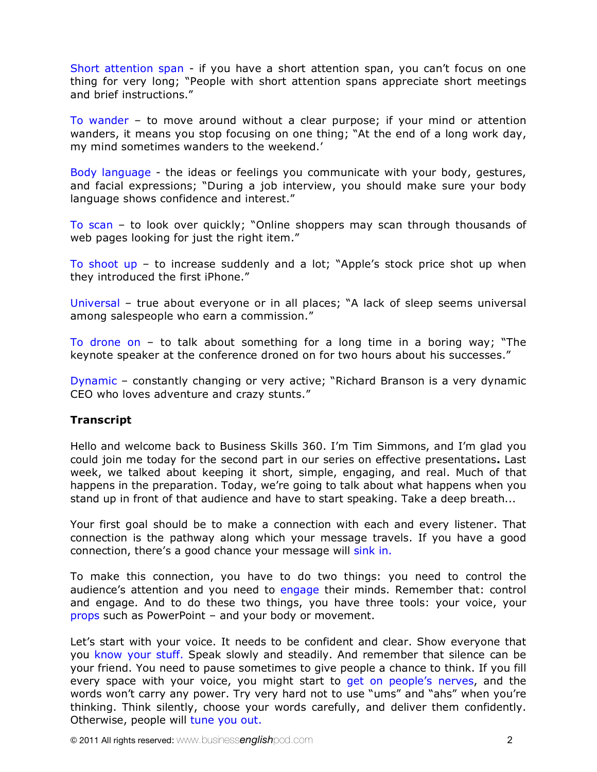Short attention span - if you have a short attention span, you can't focus on one thing for very long; "People with short attention spans appreciate short meetings and brief instructions."

To wander – to move around without a clear purpose; if your mind or attention wanders, it means you stop focusing on one thing; "At the end of a long work day, my mind sometimes wanders to the weekend.'

Body language - the ideas or feelings you communicate with your body, gestures, and facial expressions; "During a job interview, you should make sure your body language shows confidence and interest."

To scan – to look over quickly; "Online shoppers may scan through thousands of web pages looking for just the right item."

To shoot up – to increase suddenly and a lot; "Apple's stock price shot up when they introduced the first iPhone."

Universal – true about everyone or in all places; "A lack of sleep seems universal among salespeople who earn a commission."

To drone on – to talk about something for a long time in a boring way; "The keynote speaker at the conference droned on for two hours about his successes."

Dynamic – constantly changing or very active; "Richard Branson is a very dynamic CEO who loves adventure and crazy stunts."

## **Transcript**

Hello and welcome back to Business Skills 360. I'm Tim Simmons, and I'm glad you could join me today for the second part in our series on effective presentations**.** Last week, we talked about keeping it short, simple, engaging, and real. Much of that happens in the preparation. Today, we're going to talk about what happens when you stand up in front of that audience and have to start speaking. Take a deep breath...

Your first goal should be to make a connection with each and every listener. That connection is the pathway along which your message travels. If you have a good connection, there's a good chance your message will sink in.

To make this connection, you have to do two things: you need to control the audience's attention and you need to engage their minds. Remember that: control and engage. And to do these two things, you have three tools: your voice, your props such as PowerPoint – and your body or movement.

Let's start with your voice. It needs to be confident and clear. Show everyone that you know your stuff. Speak slowly and steadily. And remember that silence can be your friend. You need to pause sometimes to give people a chance to think. If you fill every space with your voice, you might start to get on people's nerves, and the words won't carry any power. Try very hard not to use "ums" and "ahs" when you're thinking. Think silently, choose your words carefully, and deliver them confidently. Otherwise, people will tune you out.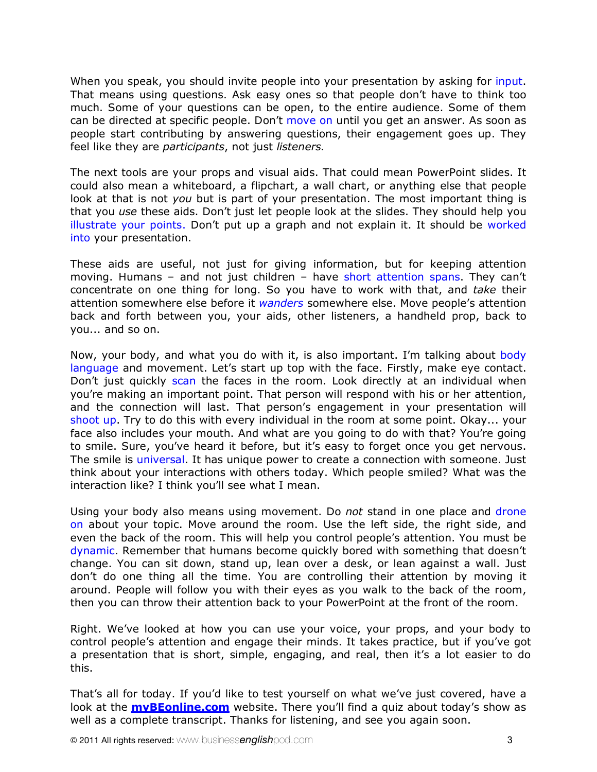When you speak, you should invite people into your presentation by asking for input. That means using questions. Ask easy ones so that people don't have to think too much. Some of your questions can be open, to the entire audience. Some of them can be directed at specific people. Don't move on until you get an answer. As soon as people start contributing by answering questions, their engagement goes up. They feel like they are *participants*, not just *listeners.*

The next tools are your props and visual aids. That could mean PowerPoint slides. It could also mean a whiteboard, a flipchart, a wall chart, or anything else that people look at that is not *you* but is part of your presentation. The most important thing is that you *use* these aids. Don't just let people look at the slides. They should help you illustrate your points. Don't put up a graph and not explain it. It should be worked into your presentation.

These aids are useful, not just for giving information, but for keeping attention moving. Humans - and not just children - have short attention spans. They can't concentrate on one thing for long. So you have to work with that, and *take* their attention somewhere else before it *wanders* somewhere else. Move people's attention back and forth between you, your aids, other listeners, a handheld prop, back to you... and so on.

Now, your body, and what you do with it, is also important. I'm talking about body language and movement. Let's start up top with the face. Firstly, make eye contact. Don't just quickly scan the faces in the room. Look directly at an individual when you're making an important point. That person will respond with his or her attention, and the connection will last. That person's engagement in your presentation will shoot up. Try to do this with every individual in the room at some point. Okay... your face also includes your mouth. And what are you going to do with that? You're going to smile. Sure, you've heard it before, but it's easy to forget once you get nervous. The smile is universal. It has unique power to create a connection with someone. Just think about your interactions with others today. Which people smiled? What was the interaction like? I think you'll see what I mean.

Using your body also means using movement. Do *not* stand in one place and drone on about your topic. Move around the room. Use the left side, the right side, and even the back of the room. This will help you control people's attention. You must be dynamic. Remember that humans become quickly bored with something that doesn't change. You can sit down, stand up, lean over a desk, or lean against a wall. Just don't do one thing all the time. You are controlling their attention by moving it around. People will follow you with their eyes as you walk to the back of the room, then you can throw their attention back to your PowerPoint at the front of the room.

Right. We've looked at how you can use your voice, your props, and your body to control people's attention and engage their minds. It takes practice, but if you've got a presentation that is short, simple, engaging, and real, then it's a lot easier to do this.

That's all for today. If you'd like to test yourself on what we've just covered, have a look at the **[myBEonline.com](http://www.mybeonline.com/category/be360-podcast/)** website. There you'll find a quiz about today's show as well as a complete transcript. Thanks for listening, and see you again soon.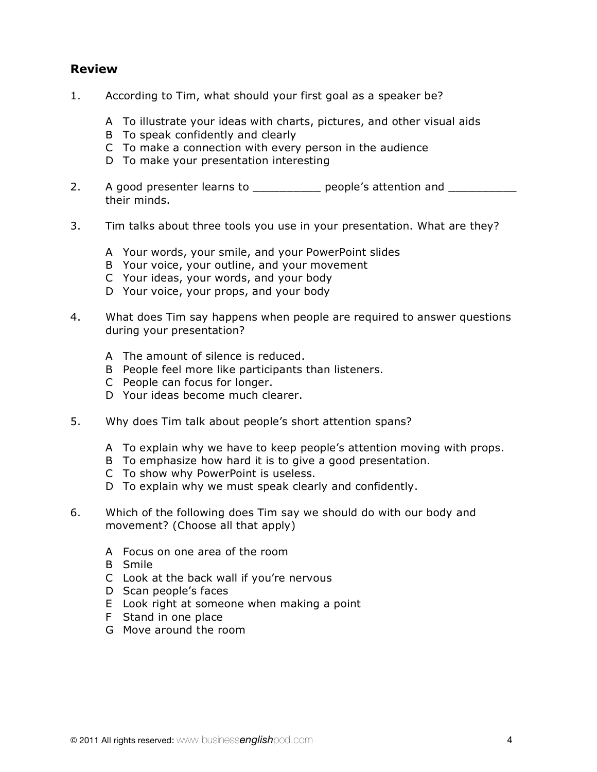# **Review**

- 1. According to Tim, what should your first goal as a speaker be?
	- A To illustrate your ideas with charts, pictures, and other visual aids
	- B To speak confidently and clearly
	- C To make a connection with every person in the audience
	- D To make your presentation interesting
- 2. A good presenter learns to \_\_\_\_\_\_\_\_\_\_\_ people's attention and \_\_\_\_\_\_\_\_\_ their minds.
- 3. Tim talks about three tools you use in your presentation. What are they?
	- A Your words, your smile, and your PowerPoint slides
	- B Your voice, your outline, and your movement
	- C Your ideas, your words, and your body
	- D Your voice, your props, and your body
- 4. What does Tim say happens when people are required to answer questions during your presentation?
	- A The amount of silence is reduced.
	- B People feel more like participants than listeners.
	- C People can focus for longer.
	- D Your ideas become much clearer.
- 5. Why does Tim talk about people's short attention spans?
	- A To explain why we have to keep people's attention moving with props.
	- B To emphasize how hard it is to give a good presentation.
	- C To show why PowerPoint is useless.
	- D To explain why we must speak clearly and confidently.
- 6. Which of the following does Tim say we should do with our body and movement? (Choose all that apply)
	- A Focus on one area of the room
	- B Smile
	- C Look at the back wall if you're nervous
	- D Scan people's faces
	- E Look right at someone when making a point
	- F Stand in one place
	- G Move around the room